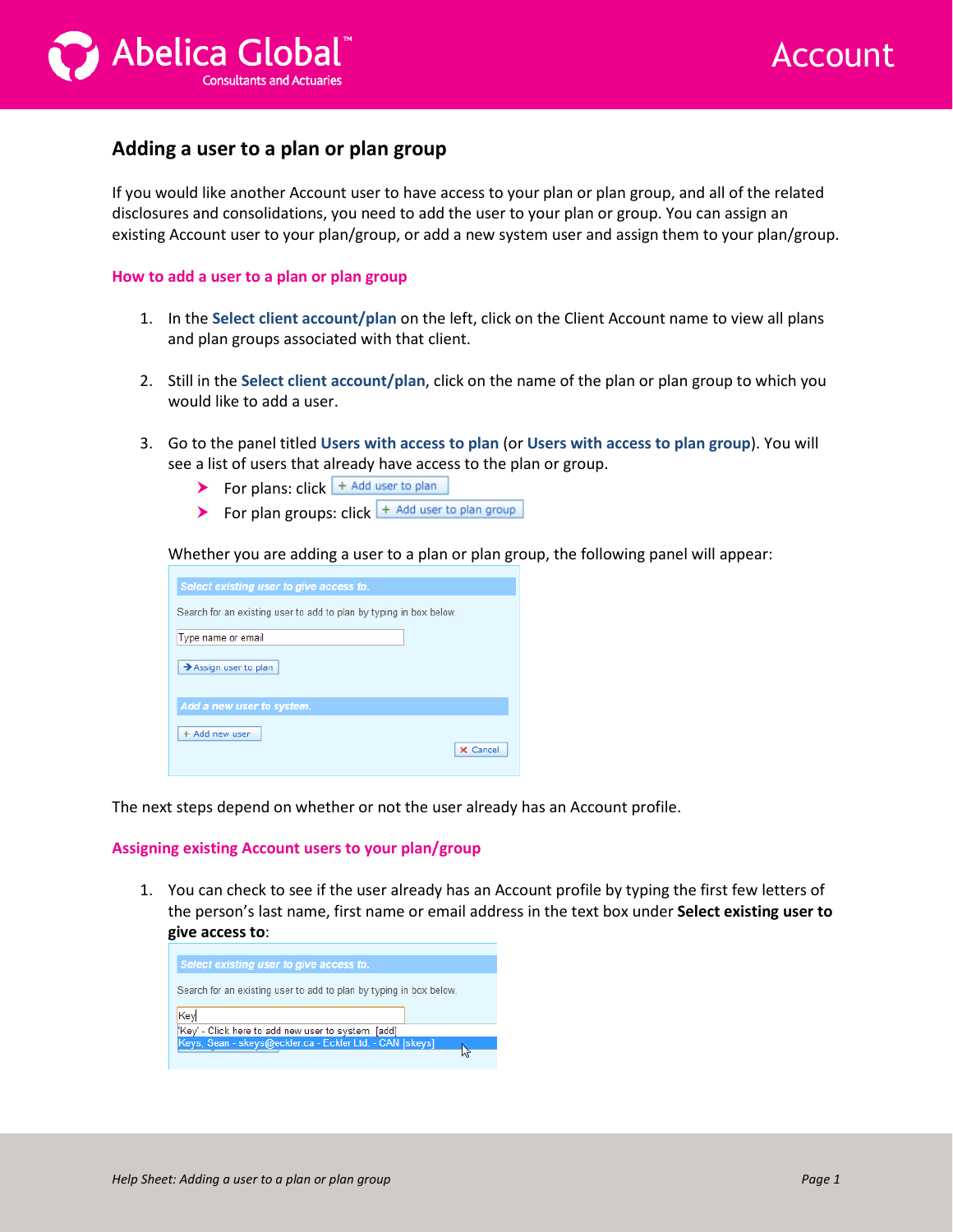



## **Adding a user to a plan or plan group**

If you would like another Account user to have access to your plan or plan group, and all of the related disclosures and consolidations, you need to add the user to your plan or group. You can assign an existing Account user to your plan/group, or add a new system user and assign them to your plan/group.

## **How to add a user to a plan or plan group**

- 1. In the **Select client account/plan** on the left, click on the Client Account name to view all plans and plan groups associated with that client.
- 2. Still in the **Select client account/plan**, click on the name of the plan or plan group to which you would like to add a user.
- 3. Go to the panel titled **Users with access to plan** (or **Users with access to plan group**). You will see a list of users that already have access to the plan or group.
	- For plans:  $click \rightarrow Add$  user to plan
	- For plan groups: click  $\frac{1}{x}$  Add user to plan group

Whether you are adding a user to a plan or plan group, the following panel will appear:

| Select existing user to give access to.                            |          |
|--------------------------------------------------------------------|----------|
|                                                                    |          |
| Search for an existing user to add to plan by typing in box below. |          |
|                                                                    |          |
|                                                                    |          |
| Type name or email                                                 |          |
|                                                                    |          |
|                                                                    |          |
| $\rightarrow$ Assign user to plan                                  |          |
|                                                                    |          |
|                                                                    |          |
| Add a new user to system.                                          |          |
|                                                                    |          |
|                                                                    |          |
| + Add new user                                                     |          |
|                                                                    | X Cancel |
|                                                                    |          |

The next steps depend on whether or not the user already has an Account profile.

## **Assigning existing Account users to your plan/group**

1. You can check to see if the user already has an Account profile by typing the first few letters of the person's last name, first name or email address in the text box under **Select existing user to give access to**:

| Search for an existing user to add to plan by typing in box below.<br>Key | Select existing user to give access to.             |  |
|---------------------------------------------------------------------------|-----------------------------------------------------|--|
|                                                                           |                                                     |  |
|                                                                           |                                                     |  |
|                                                                           | 'Key' - Click here to add new user to system. [add] |  |
| Keys, Sean - skeys@eckler.ca - Eckler Ltd. - CAN [skeys]                  |                                                     |  |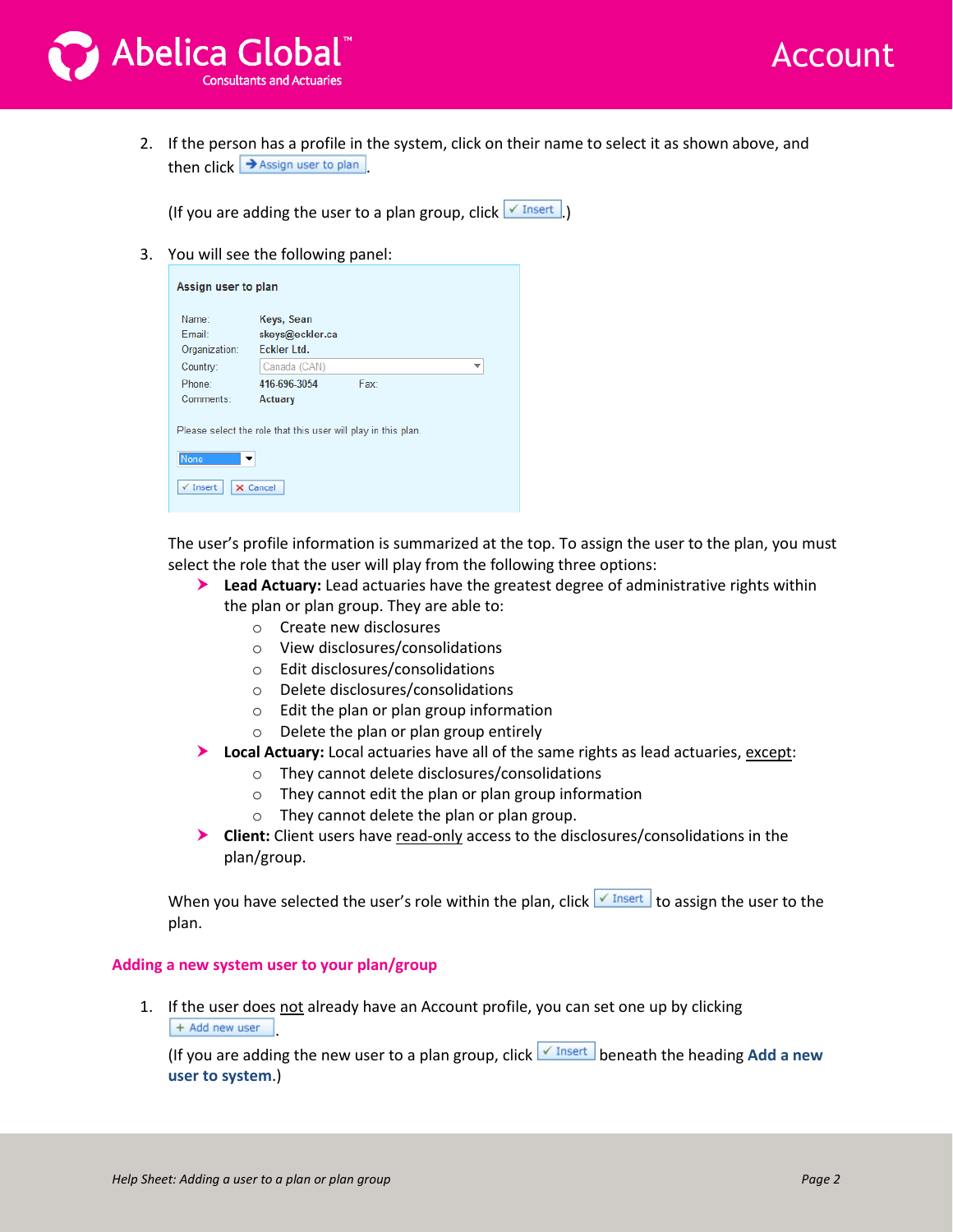



2. If the person has a profile in the system, click on their name to select it as shown above, and then click  $\rightarrow$  Assign user to plan

(If you are adding the user to a plan group, click  $\sqrt{\frac{I\text{I}}{I}}$ .)

3. You will see the following panel:

| Assign user to plan                                                                                      |                                              |      |   |  |
|----------------------------------------------------------------------------------------------------------|----------------------------------------------|------|---|--|
| Name:<br>Fmail:<br>Organization:                                                                         | Keys, Sean<br>skeys@eckler.ca<br>Eckler Ltd. |      |   |  |
| Country:                                                                                                 | Canada (CAN)                                 |      | ÷ |  |
| Phone:                                                                                                   | 416-696-3054                                 | Fax: |   |  |
| Comments:                                                                                                | Actuary                                      |      |   |  |
| Please select the role that this user will play in this plan.<br>None<br>$\checkmark$ Insert<br>X Cancel |                                              |      |   |  |

The user's profile information is summarized at the top. To assign the user to the plan, you must select the role that the user will play from the following three options:

- **Lead Actuary:** Lead actuaries have the greatest degree of administrative rights within the plan or plan group. They are able to:
	- o Create new disclosures
	- o View disclosures/consolidations
	- o Edit disclosures/consolidations
	- o Delete disclosures/consolidations
	- o Edit the plan or plan group information
	- o Delete the plan or plan group entirely
- **Local Actuary:** Local actuaries have all of the same rights as lead actuaries, except:
	- o They cannot delete disclosures/consolidations
	- o They cannot edit the plan or plan group information
	- o They cannot delete the plan or plan group.
- **Client:** Client users have read-only access to the disclosures/consolidations in the plan/group.

When you have selected the user's role within the plan, click  $\sqrt{I_{\text{insert}}}$  to assign the user to the plan.

## **Adding a new system user to your plan/group**

1. If the user does not already have an Account profile, you can set one up by clicking + Add new user .

(If you are adding the new user to a plan group, click  $\sqrt{I}$  Insert beneath the heading Add a new **user to system**.)